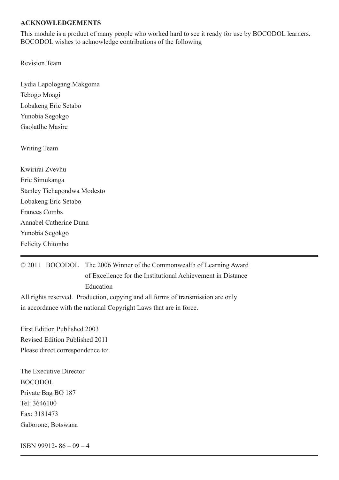#### **ACKNOWLEDGEMENTS**

This module is a product of many people who worked hard to see it ready for use by BOCODOL learners. BOCODOL wishes to acknowledge contributions of the following

Revision Team

Lydia Lapologang Makgoma Tebogo Moagi Lobakeng Eric Setabo Yunobia Segokgo Gaolatlhe Masire

Writing Team

Kwirirai Zvevhu Eric Simukanga Stanley Tichapondwa Modesto Lobakeng Eric Setabo Frances Combs Annabel Catherine Dunn Yunobia Segokgo Felicity Chitonho

© 2011 BOCODOL The 2006 Winner of the Commonwealth of Learning Award of Excellence for the Institutional Achievement in Distance Education

@ 0 0 BOCODOL, 2011

This module is made available under a Creative Commons Attribution-ShareAlike 3.0 Licence (international): http://creativecommons.org/licences/by-sa/3.0.

First Edition Published 2003 Revised Edition Published 2011 Please direct correspondence to:

The Executive Director BOCODOL Private Bag BO 187 Tel: 3646100 Fax: 3181473 Gaborone, Botswana

ISBN 99912- 86 – 09 – 4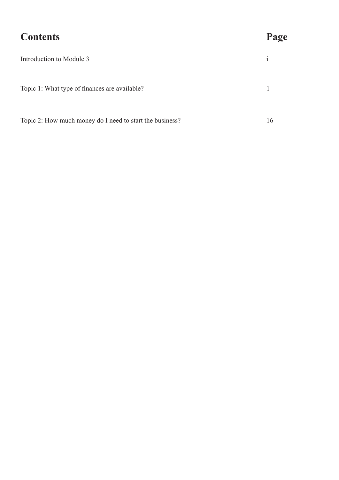| <b>Contents</b>                                          | Page         |
|----------------------------------------------------------|--------------|
| Introduction to Module 3                                 | $\mathbf{1}$ |
| Topic 1: What type of finances are available?            |              |
| Topic 2: How much money do I need to start the business? | 16           |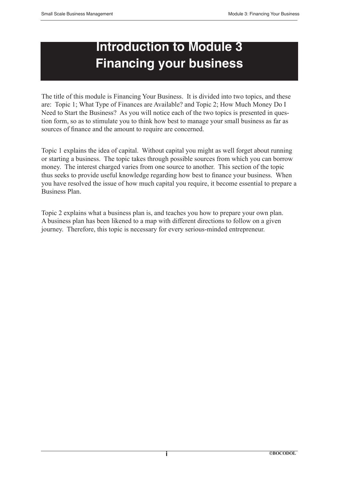# **Introduction to Module 3 Financing your business**

The title of this module is Financing Your Business. It is divided into two topics, and these are: Topic 1; What Type of Finances are Available? and Topic 2; How Much Money Do I Need to Start the Business? As you will notice each of the two topics is presented in question form, so as to stimulate you to think how best to manage your small business as far as sources of finance and the amount to require are concerned.

Topic 1 explains the idea of capital. Without capital you might as well forget about running or starting a business. The topic takes through possible sources from which you can borrow money. The interest charged varies from one source to another. This section of the topic thus seeks to provide useful knowledge regarding how best to finance your business. When you have resolved the issue of how much capital you require, it become essential to prepare a Business Plan.

Topic 2 explains what a business plan is, and teaches you how to prepare your own plan. A business plan has been likened to a map with different directions to follow on a given journey. Therefore, this topic is necessary for every serious-minded entrepreneur.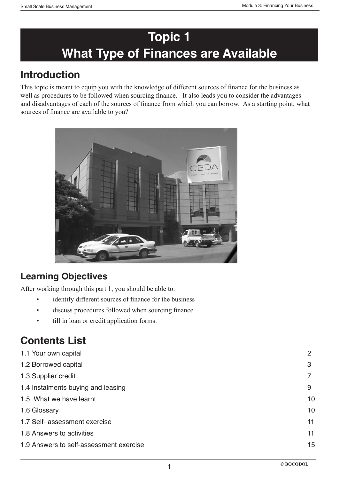# **Topic 1 What Type of Finances are Available**

# **Introduction**

This topic is meant to equip you with the knowledge of different sources of finance for the business as well as procedures to be followed when sourcing finance. It also leads you to consider the advantages and disadvantages of each of the sources of finance from which you can borrow. As a starting point, what sources of finance are available to you?



# **Learning Objectives**

After working through this part 1, you should be able to:

- identify different sources of finance for the business
- discuss procedures followed when sourcing finance
- fill in loan or credit application forms.

# **Contents List**

| 1.1 Your own capital                    | 2  |
|-----------------------------------------|----|
| 1.2 Borrowed capital                    | 3  |
| 1.3 Supplier credit                     |    |
| 1.4 Instalments buying and leasing      | 9  |
| 1.5 What we have learnt                 | 10 |
| 1.6 Glossary                            | 10 |
| 1.7 Self- assessment exercise           | 11 |
| 1.8 Answers to activities               | 11 |
| 1.9 Answers to self-assessment exercise | 15 |
|                                         |    |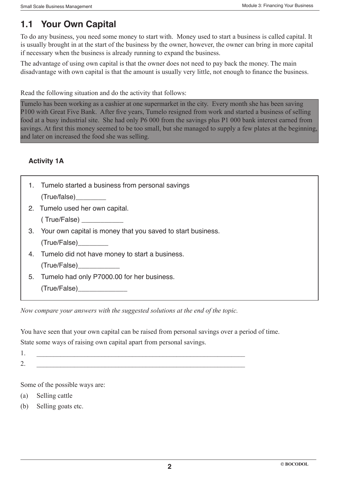# **1.1 Your Own Capital**

To do any business, you need some money to start with. Money used to start a business is called capital. It is usually brought in at the start of the business by the owner, however, the owner can bring in more capital if necessary when the business is already running to expand the business.

The advantage of using own capital is that the owner does not need to pay back the money. The main disadvantage with own capital is that the amount is usually very little, not enough to finance the business.

Read the following situation and do the activity that follows:

Tumelo has been working as a cashier at one supermarket in the city. Every month she has been saving P100 with Great Five Bank. After five years, Tumelo resigned from work and started a business of selling food at a busy industrial site. She had only P6 000 from the savings plus P1 000 bank interest earned from savings. At first this money seemed to be too small, but she managed to supply a few plates at the beginning, and later on increased the food she was selling.

### **Activity 1A**

| 1. Tumelo started a business from personal savings             |
|----------------------------------------------------------------|
| (True/false)                                                   |
| 2. Tumelo used her own capital.                                |
| (True/False)                                                   |
| 3. Your own capital is money that you saved to start business. |
| (True/False)                                                   |
| 4. Tumelo did not have money to start a business.              |
| (True/False)                                                   |
| 5. Tumelo had only P7000.00 for her business.                  |
| (True/False)                                                   |
|                                                                |

*Now compare your answers with the suggested solutions at the end of the topic.*

You have seen that your own capital can be raised from personal savings over a period of time. State some ways of raising own capital apart from personal savings.

- 1.  $\blacksquare$
- 

2.  $\qquad \qquad \overline{\qquad \qquad }$ 

Some of the possible ways are:

- (a) Selling cattle
- (b) Selling goats etc.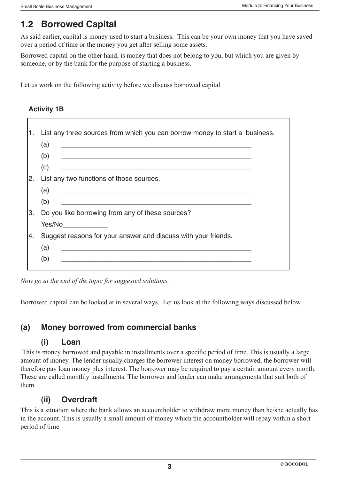# **1.2 Borrowed Capital**

As said earlier, capital is money used to start a business. This can be your own money that you have saved over a period of time or the money you get after selling some assets.

Borrowed capital on the other hand, is money that does not belong to you, but which you are given by someone, or by the bank for the purpose of starting a business.

Let us work on the following activity before we discuss borrowed capital

#### **Activity 1B**

r

| 1. | List any three sources from which you can borrow money to start a business.                                                 |
|----|-----------------------------------------------------------------------------------------------------------------------------|
|    | (a)                                                                                                                         |
|    | (b)                                                                                                                         |
|    | (c)<br><u> 2000 - Jan James James Jan James James Jan James James Jan James James Jan James James Jan Jan James James J</u> |
| 2. | List any two functions of those sources.                                                                                    |
|    | (a)                                                                                                                         |
|    | (b)<br><u> 1990 - Jan James James James James James James James James James James James James James James James James J</u> |
| 3. | Do you like borrowing from any of these sources?                                                                            |
|    |                                                                                                                             |
| 4. | Suggest reasons for your answer and discuss with your friends.                                                              |
|    | (a)<br><u> 1980 - Johann Stoff, fransk politik (f. 1980)</u>                                                                |
|    | (b)<br><u> 1980 - Johann Stoff, Amerikaansk politiker († 1908)</u>                                                          |
|    |                                                                                                                             |

*Now go at the end of the topic for suggested solutions.*

Borrowed capital can be looked at in several ways. Let us look at the following ways discussed below

### **(a) Money borrowed from commercial banks**

#### **(i) Loan**

 This is money borrowed and payable in installments over a specific period of time. This is usually a large amount of money. The lender usually charges the borrower interest on money borrowed; the borrower will therefore pay loan money plus interest. The borrower may be required to pay a certain amount every month. These are called monthly installments. The borrower and lender can make arrangements that suit both of them.

### **(ii) Overdraft**

This is a situation where the bank allows an accountholder to withdraw more money than he/she actually has in the account. This is usually a small amount of money which the accountholder will repay within a short period of time.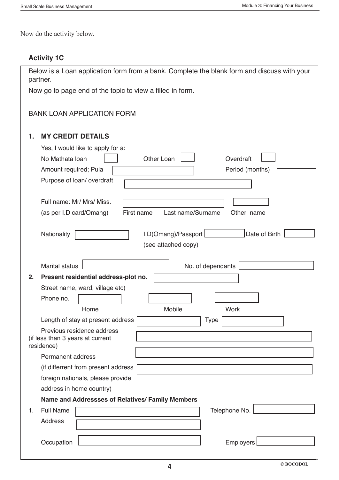Now do the activity below.

### **Activity 1C**

| Below is a Loan application form from a bank. Complete the blank form and discuss with your<br>partner. |  |  |  |
|---------------------------------------------------------------------------------------------------------|--|--|--|
| Now go to page end of the topic to view a filled in form.                                               |  |  |  |
|                                                                                                         |  |  |  |
| <b>BANK LOAN APPLICATION FORM</b>                                                                       |  |  |  |
| <b>MY CREDIT DETAILS</b><br>1.                                                                          |  |  |  |
| Yes, I would like to apply for a:                                                                       |  |  |  |
| No Mathata loan<br>Other Loan<br>Overdraft                                                              |  |  |  |
| Period (months)<br>Amount required; Pula                                                                |  |  |  |
| Purpose of loan/overdraft                                                                               |  |  |  |
|                                                                                                         |  |  |  |
| Full name: Mr/ Mrs/ Miss.                                                                               |  |  |  |
| First name<br>Last name/Surname<br>Other name<br>(as per I.D card/Omang)                                |  |  |  |
| Date of Birth                                                                                           |  |  |  |
| I.D(O mang)/Passport<br>Nationality<br>(see attached copy)                                              |  |  |  |
|                                                                                                         |  |  |  |
| <b>Marital status</b><br>No. of dependants                                                              |  |  |  |
| Present residential address-plot no.<br>2.                                                              |  |  |  |
| Street name, ward, village etc)                                                                         |  |  |  |
| Phone no.                                                                                               |  |  |  |
| Home<br>Mobile<br><b>Work</b>                                                                           |  |  |  |
| Length of stay at present address<br>Type                                                               |  |  |  |
| Previous residence address                                                                              |  |  |  |
| (if less than 3 years at current<br>residence)                                                          |  |  |  |
| <b>Permanent address</b>                                                                                |  |  |  |
| (if differrent from present address                                                                     |  |  |  |
| foreign nationals, please provide                                                                       |  |  |  |
| address in home country)                                                                                |  |  |  |
| Name and Addressses of Relatives/ Family Members                                                        |  |  |  |
| <b>Full Name</b><br>Telephone No.<br>1.                                                                 |  |  |  |
| <b>Address</b>                                                                                          |  |  |  |
|                                                                                                         |  |  |  |
| Employers<br>Occupation                                                                                 |  |  |  |
|                                                                                                         |  |  |  |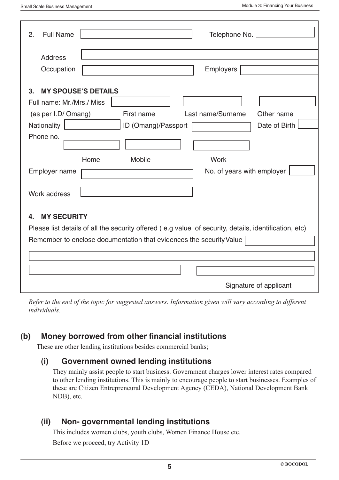I

| <b>Full Name</b><br>Telephone No.<br>2.                                                                                                                                                                  |  |  |  |  |
|----------------------------------------------------------------------------------------------------------------------------------------------------------------------------------------------------------|--|--|--|--|
| <b>Address</b>                                                                                                                                                                                           |  |  |  |  |
| Occupation<br><b>Employers</b>                                                                                                                                                                           |  |  |  |  |
| <b>MY SPOUSE'S DETAILS</b><br>3.<br>Full name: Mr./Mrs./ Miss                                                                                                                                            |  |  |  |  |
| Last name/Surname<br>(as per I.D/ Omang)<br>First name<br>Other name                                                                                                                                     |  |  |  |  |
| Nationality<br>ID (Omang)/Passport<br>Date of Birth                                                                                                                                                      |  |  |  |  |
| Phone no.<br><b>Work</b>                                                                                                                                                                                 |  |  |  |  |
| Home<br><b>Mobile</b><br>No. of years with employer<br>Employer name                                                                                                                                     |  |  |  |  |
| Work address                                                                                                                                                                                             |  |  |  |  |
| <b>MY SECURITY</b><br>4.<br>Please list details of all the security offered (e.g value of security, details, identification, etc)<br>Remember to enclose documentation that evidences the security Value |  |  |  |  |
|                                                                                                                                                                                                          |  |  |  |  |
| Signature of applicant                                                                                                                                                                                   |  |  |  |  |

ֺ *Refer to the end of the topic for suggested answers. Information given will vary according to different individuals.*

### **(b) Money borrowed from other financial institutions**

These are other lending institutions besides commercial banks;

#### **(i) Government owned lending institutions**

They mainly assist people to start business. Government charges lower interest rates compared to other lending institutions. This is mainly to encourage people to start businesses. Examples of these are Citizen Entrepreneural Development Agency (CEDA), National Development Bank NDB), etc.

### **(ii) Non- governmental lending institutions**

This includes women clubs, youth clubs, Women Finance House etc.

Before we proceed, try Activity 1D